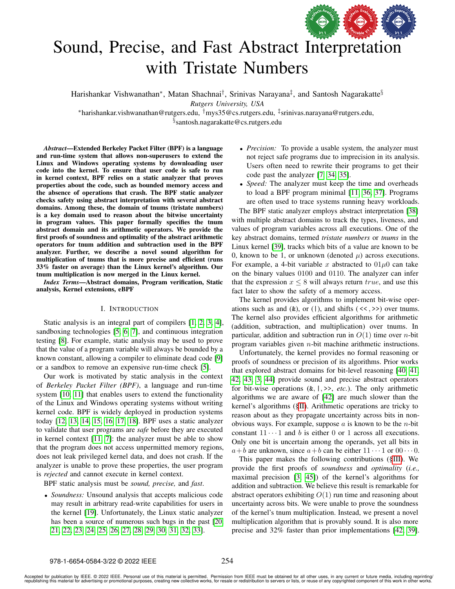

# Sound, Precise, and Fast Abstract [Interpretation](https://www.acm.org/publications/policies/artifact-review-and-badging-current) with Tristate Numbers

Harishankar Vishwanathan\*, Matan Shachnai<sup>†</sup>, Srinivas Narayana<sup>‡</sup>, and Santosh Nagarakatte<sup>§</sup>

*Rutgers University, USA*

<sup>∗</sup>harishankar.vishwanathan@rutgers.edu, †mys35@cs.rutgers.edu, ‡ srinivas.narayana@rutgers.edu,

§ santosh.nagarakatte@cs.rutgers.edu

*Abstract*—Extended Berkeley Packet Filter (BPF) is a language and run-time system that allows non-superusers to extend the Linux and Windows operating systems by downloading user code into the kernel. To ensure that user code is safe to run in kernel context, BPF relies on a static analyzer that proves properties about the code, such as bounded memory access and the absence of operations that crash. The BPF static analyzer checks safety using abstract interpretation with several abstract domains. Among these, the domain of tnums (tristate numbers) is a key domain used to reason about the bitwise uncertainty in program values. This paper formally specifies the tnum abstract domain and its arithmetic operators. We provide the first proofs of soundness and optimality of the abstract arithmetic operators for tnum addition and subtraction used in the BPF analyzer. Further, we describe a novel sound algorithm for multiplication of tnums that is more precise and efficient (runs 33% faster on average) than the Linux kernel's algorithm. Our tnum multiplication is now merged in the Linux kernel.

*Index Terms*—Abstract domains, Program verification, Static analysis, Kernel extensions, eBPF

## I. INTRODUCTION

Static analysis is an integral part of compilers [\[1,](#page-10-0) [2,](#page-10-1) [3,](#page-10-2) [4\]](#page-10-3), sandboxing technologies [\[5,](#page-10-4) [6,](#page-10-5) [7\]](#page-10-6), and continuous integration testing [\[8\]](#page-10-7). For example, static analysis may be used to prove that the value of a program variable will always be bounded by a known constant, allowing a compiler to eliminate dead code [\[9\]](#page-10-8) or a sandbox to remove an expensive run-time check [\[5\]](#page-10-4).

Our work is motivated by static analysis in the context of *Berkeley Packet Filter (BPF)*, a language and run-time system [\[10,](#page-10-9) [11\]](#page-10-10) that enables users to extend the functionality of the Linux and Windows operating systems without writing kernel code. BPF is widely deployed in production systems today [\[12,](#page-10-11) [13,](#page-10-12) [14,](#page-10-13) [15,](#page-10-14) [16,](#page-10-15) [17,](#page-10-16) [18\]](#page-10-17). BPF uses a static analyzer to validate that user programs are *safe* before they are executed in kernel context [\[11,](#page-10-10) [7\]](#page-10-6): the analyzer must be able to show that the program does not access unpermitted memory regions, does not leak privileged kernel data, and does not crash. If the analyzer is unable to prove these properties, the user program is *rejected* and cannot execute in kernel context.

BPF static analysis must be *sound, precise,* and *fast*.

• *Soundness:* Unsound analysis that accepts malicious code may result in arbitrary read-write capabilities for users in the kernel [\[19\]](#page-10-18). Unfortunately, the Linux static analyzer has been a source of numerous such bugs in the past [\[20,](#page-10-19) [21,](#page-10-20) [22,](#page-10-21) [23,](#page-10-22) [24,](#page-10-23) [25,](#page-10-24) [26,](#page-10-25) [27,](#page-10-26) [28,](#page-10-27) [29,](#page-10-28) [30,](#page-10-29) [31,](#page-10-30) [32,](#page-10-31) [33\]](#page-10-32).

- *Precision:* To provide a usable system, the analyzer must not reject safe programs due to imprecision in its analysis. Users often need to rewrite their programs to get their code past the analyzer [\[7,](#page-10-6) [34,](#page-10-33) [35\]](#page-10-34).
- *Speed:* The analyzer must keep the time and overheads to load a BPF program minimal [\[11,](#page-10-10) [36,](#page-10-35) [37\]](#page-10-36). Programs are often used to trace systems running heavy workloads.

The BPF static analyzer employs abstract interpretation [\[38\]](#page-10-37) with multiple abstract domains to track the types, liveness, and values of program variables across all executions. One of the key abstract domains, termed *tristate numbers* or *tnums* in the Linux kernel [\[39\]](#page-10-38), tracks which bits of a value are known to be 0, known to be 1, or unknown (denoted  $\mu$ ) across executions. For example, a 4-bit variable x abstracted to  $01\mu$ 0 can take on the binary values 0100 and 0110. The analyzer can infer that the expression  $x \leq 8$  will always return true, and use this fact later to show the safety of a memory access.

The kernel provides algorithms to implement bit-wise operations such as and  $(k)$ , or  $(|)$ , and shifts  $(\langle \langle , \rangle \rangle)$  over tnums. The kernel also provides efficient algorithms for arithmetic (addition, subtraction, and multiplication) over tnums. In particular, addition and subtraction run in  $O(1)$  time over *n*-bit program variables given n-bit machine arithmetic instructions.

Unfortunately, the kernel provides no formal reasoning or proofs of soundness or precision of its algorithms. Prior works that explored abstract domains for bit-level reasoning [\[40,](#page-10-39) [41,](#page-10-40) [42,](#page-10-41) [43,](#page-10-42) [3,](#page-10-2) [44\]](#page-10-43) provide sound and precise abstract operators for bit-wise operations (&, |, >>, *etc.*). The only arithmetic algorithms we are aware of [\[42\]](#page-10-41) are much slower than the kernel's algorithms ([§II\)](#page-1-0). Arithmetic operations are tricky to reason about as they propagate uncertainty across bits in nonobvious ways. For example, suppose  $\alpha$  is known to be the *n*-bit constant  $11 \cdots 1$  and b is either 0 or 1 across all executions. Only one bit is uncertain among the operands, yet all bits in  $a+b$  are unknown, since  $a+b$  can be either  $11 \cdots 1$  or  $00 \cdots 0$ .

This paper makes the following contributions ([§III\)](#page-3-0). We provide the first proofs of *soundness* and *optimality* (*i.e.,* maximal precision [\[3,](#page-10-2) [45\]](#page-10-44)) of the kernel's algorithms for addition and subtraction. We believe this result is remarkable for abstract operators exhibiting  $O(1)$  run time and reasoning about uncertainty across bits. We were unable to prove the soundness of the kernel's tnum multiplication. Instead, we present a novel multiplication algorithm that is provably sound. It is also more precise and 32% faster than prior implementations [\[42,](#page-10-41) [39\]](#page-10-38).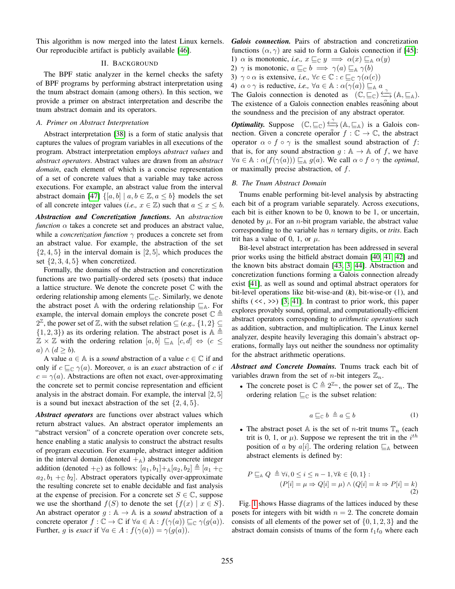This algorithm is now merged into the latest Linux kernels. Our reproducible artifact is publicly available [\[46\]](#page-10-45).

#### II. BACKGROUND

<span id="page-1-0"></span>The BPF static analyzer in the kernel checks the safety of BPF programs by performing abstract interpretation using the tnum abstract domain (among others). In this section, we provide a primer on abstract interpretation and describe the tnum abstract domain and its operators.

#### *A. Primer on Abstract Interpretation*

Abstract interpretation [\[38\]](#page-10-37) is a form of static analysis that captures the values of program variables in all executions of the program. Abstract interpretation employs *abstract values* and *abstract operators*. Abstract values are drawn from an *abstract domain*, each element of which is a concise representation of a set of concrete values that a variable may take across executions. For example, an abstract value from the interval abstract domain [\[47\]](#page-11-0)  $\{[a, b] | a, b \in \mathbb{Z}, a \leq b\}$  models the set of all concrete integer values (*i.e.*,  $x \in \mathbb{Z}$ ) such that  $a \leq x \leq b$ .

*Abstraction and Concretization functions.* An *abstraction function*  $\alpha$  takes a concrete set and produces an abstract value, while a *concretization function*  $\gamma$  produces a concrete set from an abstract value. For example, the abstraction of the set  $\{2, 4, 5\}$  in the interval domain is [2, 5], which produces the set  $\{2, 3, 4, 5\}$  when concretized.

Formally, the domains of the abstraction and concretization functions are two partially-ordered sets (posets) that induce a lattice structure. We denote the concrete poset C with the ordering relationship among elements  $\sqsubseteq_{\mathbb{C}}$ . Similarly, we denote the abstract poset A with the ordering relationship  $\sqsubseteq_A$ . For example, the interval domain employs the concrete poset  $\mathbb{C} \triangleq$  $2^{\mathbb{Z}}$ , the power set of  $\mathbb{Z}$ , with the subset relation  $\subseteq$  (e.g.,  $\{1,2\} \subseteq$  $\{1, 2, 3\}$  as its ordering relation. The abstract poset is  $\mathbb{A} \triangleq$  $\mathbb{Z} \times \mathbb{Z}$  with the ordering relation  $[a, b] \sqsubseteq_{\mathbb{A}} [c, d] \Leftrightarrow (c \leq$  $a) \wedge (d \geq b).$ 

A value  $a \in A$  is a *sound* abstraction of a value  $c \in \mathbb{C}$  if and only if  $c \sqsubseteq_{\mathbb{C}} \gamma(a)$ . Moreover, a is an *exact* abstraction of c if  $c = \gamma(a)$ . Abstractions are often not exact, over-approximating the concrete set to permit concise representation and efficient analysis in the abstract domain. For example, the interval [2, 5] is a sound but inexact abstraction of the set  $\{2, 4, 5\}$ .

*Abstract operators* are functions over abstract values which return abstract values. An abstract operator implements an "abstract version" of a concrete operation over concrete sets, hence enabling a static analysis to construct the abstract results of program execution. For example, abstract integer addition in the interval domain (denoted  $+_{A}$ ) abstracts concrete integer addition (denoted  $+_{\mathbb{C}}$ ) as follows:  $[a_1, b_1] +_{\mathbb{A}} [a_2, b_2] \triangleq [a_1 +_{\mathbb{C}}]$  $a_2, b_1 +_{\mathbb{C}} b_2$ . Abstract operators typically over-approximate the resulting concrete set to enable decidable and fast analysis at the expense of precision. For a concrete set  $S \in \mathbb{C}$ , suppose we use the shorthand  $f(S)$  to denote the set  $\{f(x) | x \in S\}$ . An abstract operator  $q : A \rightarrow A$  is a *sound* abstraction of a concrete operator  $f: \mathbb{C} \to \mathbb{C}$  if  $\forall a \in \mathbb{A} : f(\gamma(a)) \sqsubseteq_{\mathbb{C}} \gamma(g(a)).$ Further, g is *exact* if  $\forall a \in A : f(\gamma(a)) = \gamma(g(a)).$ 

*Galois connection.* Pairs of abstraction and concretization functions  $(\alpha, \gamma)$  are said to form a Galois connection if [\[45\]](#page-10-44):

- 1)  $\alpha$  is monotonic, *i.e.*,  $x \sqsubseteq_{\mathbb{C}} y \implies \alpha(x) \sqsubseteq_{\mathbb{A}} \alpha(y)$
- 2)  $\gamma$  is monotonic,  $a \sqsubseteq_{\mathbb{C}} b \implies \gamma(a) \sqsubseteq_{\mathbb{A}} \gamma(b)$
- 3)  $\gamma \circ \alpha$  is extensive, *i.e.*,  $\forall c \in \mathbb{C} : c \sqsubseteq_{\mathbb{C}} \gamma(\alpha(c))$
- 4)  $\alpha \circ \gamma$  is reductive, *i.e.*,  $\forall a \in \mathbb{A} : \alpha(\gamma(a)) \sqsubseteq_{\mathbb{A}} a$

The Galois connection is denoted as  $(C, \sqsubseteq_{\mathbb{C}}) \xrightarrow[\alpha]{\sim} (A, \sqsubseteq_{\mathbb{A}})$ . The existence of a Galois connection enables reasoning about the soundness and the precision of any abstract operator.

*Optimality.* Suppose  $(\mathbb{C}, \sqsubseteq_{\mathbb{C}}) \xrightarrow{\curvearrowleft} (\mathbb{A}, \sqsubseteq_{\mathbb{A}})$  is a Galois connection. Given a concrete operator  $f : \mathbb{C} \to \mathbb{C}$ , the abstract operator  $\alpha \circ f \circ \gamma$  is the smallest sound abstraction of f: that is, for any sound abstraction  $q : A \rightarrow A$  of f, we have  $\forall a \in \mathbb{A} : \alpha(f(\gamma(a))) \sqsubseteq_{\mathbb{A}} g(a)$ . We call  $\alpha \circ f \circ \gamma$  the *optimal*, or maximally precise abstraction, of f.

#### *B. The Tnum Abstract Domain*

Tnums enable performing bit-level analysis by abstracting each bit of a program variable separately. Across executions, each bit is either known to be 0, known to be 1, or uncertain, denoted by  $\mu$ . For an *n*-bit program variable, the abstract value corresponding to the variable has n ternary digits, or *trits*. Each trit has a value of 0, 1, or  $\mu$ .

Bit-level abstract interpretation has been addressed in several prior works using the bitfield abstract domain [\[40,](#page-10-39) [41,](#page-10-40) [42\]](#page-10-41) and the known bits abstract domain [\[43,](#page-10-42) [3,](#page-10-2) [44\]](#page-10-43). Abstraction and concretization functions forming a Galois connection already exist [\[41\]](#page-10-40), as well as sound and optimal abstract operators for bit-level operations like bit-wise-and (&), bit-wise-or (|), and shifts  $(\langle \langle \rangle \rangle)$  [\[3,](#page-10-2) [41\]](#page-10-40). In contrast to prior work, this paper explores provably sound, optimal, and computationally-efficient abstract operators corresponding to *arithmetic operations* such as addition, subtraction, and multiplication. The Linux kernel analyzer, despite heavily leveraging this domain's abstract operations, formally lays out neither the soundness nor optimality for the abstract arithmetic operations.

*Abstract and Concrete Domains.* Tnums track each bit of variables drawn from the set of *n*-bit integers  $\mathbb{Z}_n$ .

• The concrete poset is  $\mathbb{C} \triangleq 2^{\mathbb{Z}_n}$ , the power set of  $\mathbb{Z}_n$ . The ordering relation  $\sqsubseteq_{\mathbb{C}}$  is the subset relation:

$$
a \sqsubseteq_{\mathbb{C}} b \triangleq a \subseteq b \tag{1}
$$

• The abstract poset A is the set of *n*-trit tnums  $\mathbb{T}_n$  (each trit is 0, 1, or  $\mu$ ). Suppose we represent the trit in the  $i^{th}$ position of a by a[i]. The ordering relation  $\sqsubseteq_{\mathbb{A}}$  between abstract elements is defined by:

$$
P \sqsubseteq_{\mathbb{A}} Q \triangleq \forall i, 0 \le i \le n - 1, \forall k \in \{0, 1\} : (P[i] = \mu \Rightarrow Q[i] = \mu) \land (Q[i] = k \Rightarrow P[i] = k)
$$
(2)

Fig. [1](#page-2-0) shows Hasse diagrams of the lattices induced by these posets for integers with bit width  $n = 2$ . The concrete domain consists of all elements of the power set of  $\{0, 1, 2, 3\}$  and the abstract domain consists of tnums of the form  $t_1t_0$  where each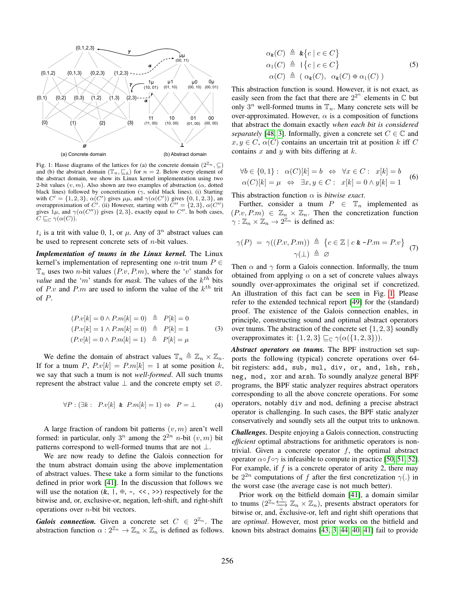<span id="page-2-0"></span>

Fig. 1: Hasse diagrams of the lattices for (a) the concrete domain  $(2^{\mathbb{Z}_n}, \subseteq)$ and (b) the abstract domain  $(\mathbb{T}_n, \underline{\mathbb{F}}_{\mathbb{A}})$  for  $n = 2$ . Below every element of the abstract domain, we show its Linux kernel implementation using two 2-bit values  $(v, m)$ . Also shown are two examples of abstraction ( $\alpha$ , dotted black lines) followed by concretization ( $\gamma$ , solid black lines). (i) Starting with  $C' = \{1, 2, 3\}$ ,  $\alpha(C')$  gives  $\mu\mu$ , and  $\gamma(\alpha(C'))$  gives  $\{0, 1, 2, 3\}$ , and overapproximation of C'. (ii) However, starting with  $C'' = \{2, 3\}$ ,  $\alpha(C'')$ gives  $1\mu$ , and  $\gamma(\alpha(C''))$  gives  $\{2,3\}$ , exactly equal to C''. In both cases,  $C \sqsubseteq_{\mathbb{C}} \gamma(\alpha(C)).$ 

 $t_i$  is a trit with value 0, 1, or  $\mu$ . Any of  $3^n$  abstract values can be used to represent concrete sets of  $n$ -bit values.

*Implementation of tnums in the Linux kernel.* The Linux kernel's implementation of representing one *n*-trit tnum  $P \in$  $\mathbb{T}_n$  uses two *n*-bit values  $(P.v, P.m)$ , where the 'v' stands for *value* and the 'm' stands for *mask*. The values of the  $k^{th}$  bits of P.v and P.m are used to inform the value of the  $k^{th}$  trit of P.

$$
(P.v[k] = 0 \land P.m[k] = 0) \triangleq P[k] = 0
$$
  
\n
$$
(P.v[k] = 1 \land P.m[k] = 0) \triangleq P[k] = 1
$$
  
\n
$$
(P.v[k] = 0 \land P.m[k] = 1) \triangleq P[k] = \mu
$$
  
\n(3)

We define the domain of abstract values  $\mathbb{T}_n \triangleq \mathbb{Z}_n \times \mathbb{Z}_n$ . If for a tnum P,  $P.v[k] = P.m[k] = 1$  at some position k, we say that such a tnum is not *well-formed*. All such tnums represent the abstract value  $\perp$  and the concrete empty set  $\varnothing$ .

$$
\forall P: (\exists k: P.v[k] \& P.m[k] = 1) \Leftrightarrow P = \bot
$$
 (4)

A large fraction of random bit patterns  $(v, m)$  aren't well formed: in particular, only  $3^n$  among the  $2^{2n}$  *n*-bit  $(v, m)$  bit patterns correspond to well-formed tnums that are not  $\perp$ .

We are now ready to define the Galois connection for the tnum abstract domain using the above implementation of abstract values. These take a form similar to the functions defined in prior work [\[41\]](#page-10-40). In the discussion that follows we will use the notation  $(k, l, \oplus, \sim, \ll, \gg)$  respectively for the bitwise and, or, exclusive-or, negation, left-shift, and right-shift operations over  $n$ -bit bit vectors.

*Galois connection.* Given a concrete set  $C \in 2^{\mathbb{Z}_n}$ . The abstraction function  $\alpha: 2^{\mathbb{Z}_n} \to \mathbb{Z}_n \times \mathbb{Z}_n$  is defined as follows.

$$
\alpha_{\mathbf{\underline{\mathbf{k}}}}(C) \triangleq {\mathbf{\underline{\mathbf{k}}}} \{c \mid c \in C \}
$$
  
\n
$$
\alpha_1(C) \triangleq {\mathbf{\underline{k}} \{c \mid c \in C \}}
$$
  
\n
$$
\alpha(C) \triangleq (\alpha_{\mathbf{\underline{\mathbf{k}}}}(C), \ \alpha_{\mathbf{\underline{\mathbf{k}}}}(C) \oplus \alpha_1(C))
$$
\n(5)

This abstraction function is sound. However, it is not exact, as easily seen from the fact that there are  $2^{2^n}$  elements in  $\mathbb C$  but only  $3^n$  well-formed tnums in  $\mathbb{T}_n$ . Many concrete sets will be over-approximated. However,  $\alpha$  is a composition of functions that abstract the domain exactly *when each bit is considered separately* [\[48,](#page-11-1) [3\]](#page-10-2). Informally, given a concrete set  $C \in \mathbb{C}$  and  $x, y \in C$ ,  $\alpha(C)$  contains an uncertain trit at position k iff C contains  $x$  and  $y$  with bits differing at  $k$ .

<span id="page-2-3"></span>
$$
\forall b \in \{0, 1\}: \ \alpha(C)[k] = b \Leftrightarrow \forall x \in C: \ x[k] = b
$$
  
 
$$
\alpha(C)[k] = \mu \Leftrightarrow \exists x, y \in C: \ x[k] = 0 \land y[k] = 1
$$
 (6)

This abstraction function  $\alpha$  is *bitwise exact*.

Further, consider a tnum  $P \in \mathbb{T}_n$  implemented as  $(P.v, P.m) \in \mathbb{Z}_n \times \mathbb{Z}_n$ . Then the concretization function  $\gamma : \mathbb{Z}_n \times \mathbb{Z}_n \to 2^{\mathbb{Z}_n}$  is defined as:

<span id="page-2-1"></span>
$$
\gamma(P) = \gamma((P.v, P.m)) \triangleq \{c \in \mathbb{Z} \mid c \& \sim P.m = P.v\}
$$
  

$$
\gamma(\perp) \triangleq \varnothing
$$
 (7)

Then  $\alpha$  and  $\gamma$  form a Galois connection. Informally, the tnum obtained from applying  $\alpha$  on a set of concrete values always soundly over-approximates the original set if concretized. An illustration of this fact can be seen in Fig. [1.](#page-2-0) Please refer to the extended technical report [\[49\]](#page-11-2) for the (standard) proof. The existence of the Galois connection enables, in principle, constructing sound and optimal abstract operators over tnums. The abstraction of the concrete set  $\{1, 2, 3\}$  soundly overapproximates it:  $\{1, 2, 3\} \sqsubseteq_{\mathbb{C}} \gamma(\alpha(\{1, 2, 3\})).$ 

*Abstract operators on tnums.* The BPF instruction set supports the following (typical) concrete operations over 64 bit registers: add, sub, mul, div, or, and, lsh, rsh, neg, mod, xor and arsh. To soundly analyze general BPF programs, the BPF static analyzer requires abstract operators corresponding to all the above concrete operations. For some operators, notably div and mod, defining a precise abstract operator is challenging. In such cases, the BPF static analyzer conservatively and soundly sets all the output trits to unknown.

<span id="page-2-2"></span>*Challenges.* Despite enjoying a Galois connection, constructing *efficient* optimal abstractions for arithmetic operators is nontrivial. Given a concrete operator  $f$ , the optimal abstract operator  $\alpha \circ f \circ \gamma$  is infeasible to compute in practice [\[50,](#page-11-3) [51,](#page-11-4) [52\]](#page-11-5). For example, if  $f$  is a concrete operator of arity 2, there may be  $2^{2n}$  computations of f after the first concretization  $\gamma(.)$  in the worst case (the average case is not much better).

Prior work on the bitfield domain [\[41\]](#page-10-40), a domain similar to thums  $(2^{\mathbb{Z}_n} \xrightarrow{\gamma} \mathbb{Z}_n \times \mathbb{Z}_n)$ , presents abstract operators for bitwise or, and, exclusive-or, left and right shift operations that are *optimal*. However, most prior works on the bitfield and known bits abstract domains [\[43,](#page-10-42) [3,](#page-10-2) [44,](#page-10-43) [40,](#page-10-39) [41\]](#page-10-40) fail to provide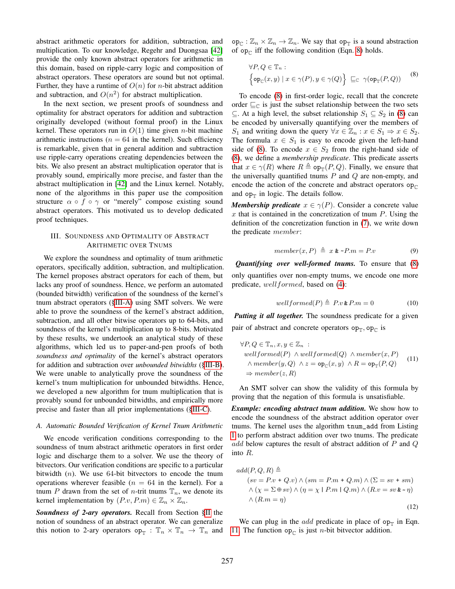abstract arithmetic operators for addition, subtraction, and multiplication. To our knowledge, Regehr and Duongsaa [\[42\]](#page-10-41) provide the only known abstract operators for arithmetic in this domain, based on ripple-carry logic and composition of abstract operators. These operators are sound but not optimal. Further, they have a runtime of  $O(n)$  for *n*-bit abstract addition and subtraction, and  $O(n^2)$  for abstract multiplication.

In the next section, we present proofs of soundness and optimality for abstract operators for addition and subtraction originally developed (without formal proof) in the Linux kernel. These operators run in  $O(1)$  time given *n*-bit machine arithmetic instructions ( $n = 64$  in the kernel). Such efficiency is remarkable, given that in general addition and subtraction use ripple-carry operations creating dependencies between the bits. We also present an abstract multiplication operator that is provably sound, empirically more precise, and faster than the abstract multiplication in [\[42\]](#page-10-41) and the Linux kernel. Notably, none of the algorithms in this paper use the composition structure  $\alpha \circ f \circ \gamma$  or "merely" compose existing sound abstract operators. This motivated us to develop dedicated proof techniques.

## <span id="page-3-0"></span>III. SOUNDNESS AND OPTIMALITY OF ABSTRACT ARITHMETIC OVER TNUMS

We explore the soundness and optimality of tnum arithmetic operators, specifically addition, subtraction, and multiplication. The kernel proposes abstract operators for each of them, but lacks any proof of soundness. Hence, we perform an automated (bounded bitwidth) verification of the soundness of the kernel's tnum abstract operators ([§III-A\)](#page-3-1) using SMT solvers. We were able to prove the soundness of the kernel's abstract addition, subtraction, and all other bitwise operators up to 64-bits, and soundness of the kernel's multiplication up to 8-bits. Motivated by these results, we undertook an analytical study of these algorithms, which led us to paper-and-pen proofs of both *soundness and optimality* of the kernel's abstract operators for addition and subtraction over *unbounded bitwidths* ([§III-B\)](#page-4-0). We were unable to analytically prove the soundness of the kernel's tnum multiplication for unbounded bitwidths. Hence, we developed a new algorithm for tnum multiplication that is provably sound for unbounded bitwidths, and empirically more precise and faster than all prior implementations ([§III-C\)](#page-5-0).

## <span id="page-3-1"></span>*A. Automatic Bounded Verification of Kernel Tnum Arithmetic*

We encode verification conditions corresponding to the soundness of tnum abstract arithmetic operators in first order logic and discharge them to a solver. We use the theory of bitvectors. Our verification conditions are specific to a particular bitwidth  $(n)$ . We use 64-bit bitvectors to encode the tnum operations wherever feasible ( $n = 64$  in the kernel). For a tnum P drawn from the set of *n*-trit tnums  $\mathbb{T}_n$ , we denote its kernel implementation by  $(P.v, P.m) \in \mathbb{Z}_n \times \mathbb{Z}_n$ .

*Soundness of 2-ary operators.* Recall from Section [§II](#page-1-0) the notion of soundness of an abstract operator. We can generalize this notion to 2-ary operators  $op_{\mathbb{T}}$  :  $\mathbb{T}_n \times \mathbb{T}_n \to \mathbb{T}_n$  and  $\operatorname{op}_{\mathbb{C}} : \mathbb{Z}_n \times \mathbb{Z}_n \to \mathbb{Z}_n$ . We say that  $\operatorname{op}_{\mathbb{T}}$  is a sound abstraction of  $op_{\mathbb{C}}$  iff the following condition (Eqn. [8\)](#page-3-2) holds.

<span id="page-3-2"></span>
$$
\forall P, Q \in \mathbb{T}_n : \left\{ \mathsf{op}_{\mathbb{C}}(x, y) \mid x \in \gamma(P), y \in \gamma(Q) \right\} \sqsubseteq_{\mathbb{C}} \gamma(\mathsf{op}_{\mathbb{T}}(P, Q)) \tag{8}
$$

To encode [\(8\)](#page-3-2) in first-order logic, recall that the concrete order  $\sqsubseteq_{\mathbb{C}}$  is just the subset relationship between the two sets ⊆. At a high level, the subset relationship  $S_1$  ⊆  $S_2$  in [\(8\)](#page-3-2) can be encoded by universally quantifying over the members of S<sub>1</sub> and writing down the query  $\forall x \in \mathbb{Z}_n : x \in S_1 \Rightarrow x \in S_2$ . The formula  $x \in S_1$  is easy to encode given the left-hand side of [\(8\)](#page-3-2). To encode  $x \in S_2$  from the right-hand side of [\(8\)](#page-3-2), we define a *membership predicate*. This predicate asserts that  $x \in \gamma(R)$  where  $R \triangleq \mathsf{op}_{\mathbb{T}}(P,Q)$ . Finally, we ensure that the universally quantified tnums  $P$  and  $Q$  are non-empty, and encode the action of the concrete and abstract operators  $op_{\mathbb{C}}$ and  $op_{\mathbb{T}}$  in logic. The details follow.

*Membership predicate*  $x \in \gamma(P)$ . Consider a concrete value  $x$  that is contained in the concretization of tnum  $P$ . Using the definition of the concretization function in [\(7\)](#page-2-1), we write down the predicate member:

$$
member(x, P) \triangleq x \& \sim P.m = P.v \tag{9}
$$

*Quantifying over well-formed tnums.* To ensure that [\(8\)](#page-3-2) only quantifies over non-empty tnums, we encode one more predicate, well formed, based on [\(4\)](#page-2-2):

<span id="page-3-3"></span>
$$
wellformed(P) \triangleq P.v \& P.m = 0 \tag{10}
$$

*Putting it all together.* The soundness predicate for a given pair of abstract and concrete operators  $op_{\mathbb{T}}$ ,  $op_{\mathbb{C}}$  is

$$
\forall P, Q \in \mathbb{T}_n, x, y \in \mathbb{Z}_n :
$$
  
wellformed(P)  $\wedge$  wellformed(Q)  $\wedge$  member(x, P)  
 $\wedge$  member(y, Q)  $\wedge$  z = op<sub>C</sub>(x, y)  $\wedge$  R = op<sub>T</sub>(P, Q)  
 $\Rightarrow$  member(z, R) (11)

An SMT solver can show the validity of this formula by proving that the negation of this formula is unsatisfiable.

*Example: encoding abstract tnum addition.* We show how to encode the soundness of the abstract addition operator over tnums. The kernel uses the algorithm tnum\_add from Listing [1](#page-4-1) to perform abstract addition over two tnums. The predicate add below captures the result of abstract addition of  $P$  and  $Q$ into R.

$$
add(P, Q, R) \triangleq
$$
  
\n
$$
(sv = P.v + Q.v) \land (sm = P.m + Q.m) \land (\Sigma = sv + sm)
$$
  
\n
$$
\land (\chi = \Sigma \oplus sv) \land (\eta = \chi \mid P.m \mid Q.m) \land (R.v = sv > \eta)
$$
  
\n
$$
\land (R.m = \eta)
$$
\n(12)

We can plug in the *add* predicate in place of  $op_{\mathbb{T}}$  in Eqn. [11.](#page-3-3) The function  $op_{\mathbb{C}}$  is just *n*-bit bitvector addition.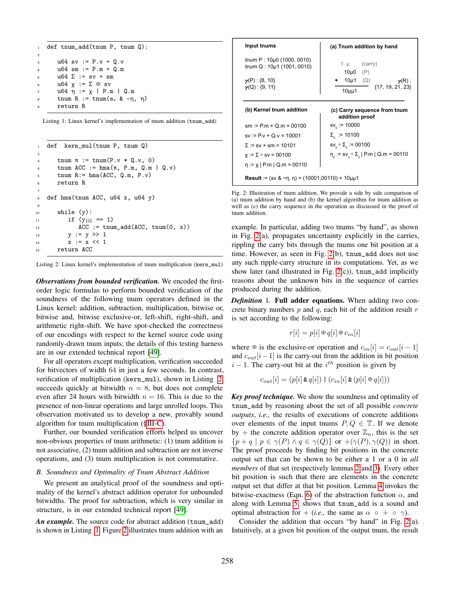```
1 def tnum_add(tnum P, tnum Q):
2
3 u64 \text{ sv} := P.v + Q.v4 u64 sm := P.m + Q.m
5 u64 \Sigma := sv + sm
6 u64 χ := Σ ⊕ sv
      u64 η := χ | P.m | Q.m
      tnum R := tnum(s<sub>v</sub> & \simη, η)
      9 return R
```
Listing 1: Linux kernel's implementation of tnum addition (tnum\_add)

```
1 def kern_mul(tnum P, tnum Q)
2
3 tnum \pi := tnum(P.v * Q.v, 0)
      tnum ACC := hma(\pi, P.m, Q.m | Q.v)5 tnum R:= hma(ACC, Q.m, P.v)
6 return R
7
8 def hma(tnum ACC, u64 x, u64 y)
9
10 while (y):
11 if (y_{[0]} == 1)ACC := \text{trum\_add}(ACC, \text{trum}(0, x))13 y := y \gg 114 x := x \le 115 return ACC
```
Listing 2: Linux kernel's implementation of tnum multiplication (kern\_mul)

*Observations from bounded verification.* We encoded the firstorder logic formulas to perform bounded verification of the soundness of the following tnum operators defined in the Linux kernel: addition, subtraction, multiplication, bitwise or, bitwise and, bitwise exclusive-or, left-shift, right-shift, and arithmetic right-shift. We have spot-checked the correctness of our encodings with respect to the kernel source code using randomly-drawn tnum inputs; the details of this testing harness are in our extended technical report [\[49\]](#page-11-2).

For all operators except multiplication, verification succeeded for bitvectors of width 64 in just a few seconds. In contrast, verification of multiplication (kern\_mul), shown in Listing [2,](#page-4-2) succeeds quickly at bitwidth  $n = 8$ , but does not complete even after 24 hours with bitwidth  $n = 16$ . This is due to the presence of non-linear operations and large unrolled loops. This observation motivated us to develop a new, provably sound algorithm for tnum multiplication ([§III-C\)](#page-5-0).

Further, our bounded verification efforts helped us uncover non-obvious properties of tnum arithmetic: (1) tnum addition is not associative, (2) tnum addition and subtraction are not inverse operations, and (3) tnum multiplication is not commutative.

#### <span id="page-4-0"></span>*B. Soundness and Optimality of Tnum Abstract Addition*

We present an analytical proof of the soundness and optimality of the kernel's abstract addition operator for unbounded bitwidths. The proof for subtraction, which is very similar in structure, is in our extended technical report [\[49\]](#page-11-2).

*An example.* The source code for abstract addition (tnum\_add) is shown in Listing [1.](#page-4-1) Figure [2](#page-4-3) illustrates tnum addition with an

<span id="page-4-3"></span>

| Input tnums                                                      | (a) Tnum addition by hand                                         |  |  |
|------------------------------------------------------------------|-------------------------------------------------------------------|--|--|
| tnum $P: 10\mu$ 0 (1000, 0010)<br>tnum $Q: 10\mu$ 1 (1001, 0010) | (carry)<br>1 µ<br>10µ0<br>(P)                                     |  |  |
| $\gamma(P)$ : {8, 10}<br>$\gamma(Q)$ : {9, 11}                   | + $10\mu$ 1 (Q)<br>$\gamma(R)$ :<br>$\{17, 19, 21, 23\}$<br>10μμ1 |  |  |
| (b) Kernel tnum addition                                         | (c) Carry sequence from tnum<br>addition proof                    |  |  |
| $sm := P.m + Q.m = 00100$                                        | $sv_{c} := 10000$                                                 |  |  |
| $sv := P.v + Q.v = 10001$                                        | $Σe := 10100$                                                     |  |  |
| $\Sigma := sv + sm = 10101$                                      | sν εις εις = 00100                                                |  |  |
| $x := \Sigma \circ s = 00100$                                    | $η_c := sv_c \oplus \Sigma_c   P.m   Q.m = 00110$                 |  |  |
| $\eta := \chi \mid P.m \mid Q.m = 00110$                         |                                                                   |  |  |
| <b>Result</b> := (sv & ~n, n) = (10001,00110) = 10 $\mu$ u1      |                                                                   |  |  |

Fig. 2: Illustration of tnum addition. We provide a side by side comparison of (a) tnum addition by hand and (b) the kernel algorithm for tnum addition as well as (c) the carry sequence in the operation as discussed in the proof of tnum addition.

example. In particular, adding two tnums "by hand", as shown in Fig. [2\(](#page-4-3)a), propagates uncertainty explicitly in the carries, rippling the carry bits through the tnums one bit position at a time. However, as seen in Fig. [2\(](#page-4-3)b), tnum\_add does not use any such ripple-carry structure in its computations. Yet, as we show later (and illustrated in Fig.  $2(c)$ ), tnum\_add implicitly reasons about the unknown bits in the sequence of carries produced during the addition.

*Definition* 1*.* Full adder equations. When adding two concrete binary numbers  $p$  and  $q$ , each bit of the addition result  $r$ is set according to the following:

$$
r[i] = p[i] \oplus q[i] \oplus c_{in}[i]
$$

where  $\Theta$  is the exclusive-or operation and  $c_{in}[i] = c_{out}[i - 1]$ and  $c_{out}[i-1]$  is the carry-out from the addition in bit position  $i - 1$ . The carry-out bit at the  $i<sup>th</sup>$  position is given by

$$
c_{out}[i] = (p[i] \& q[i]) \mid (c_{in}[i] \& (p[i] \oplus q[i]))
$$

*Key proof technique.* We show the soundness and optimality of tnum\_add by reasoning about the set of all possible *concrete outputs*, *i.e.,* the results of executions of concrete additions over elements of the input tnums  $P, Q \in \mathbb{T}$ . If we denote by + the concrete addition operator over  $\mathbb{Z}_n$ , this is the set  ${p+q | p \in \gamma(P) \land q \in \gamma(Q)}$  or  $+(\gamma(P), \gamma(Q))$  in short. The proof proceeds by finding bit positions in the concrete output set that can be shown to be either a 1 or a 0 in *all members* of that set (respectively lemmas [2](#page-5-1) and [3\)](#page-5-2). Every other bit position is such that there are elements in the concrete output set that differ at that bit position. Lemma [4](#page-5-3) invokes the bitwise-exactness (Eqn. [6\)](#page-2-3) of the abstraction function  $\alpha$ , and along with Lemma [5,](#page-5-4) shows that tnum\_add is a sound and optimal abstraction for + (*i.e.*, the same as  $\alpha \circ + \circ \gamma$ ).

Consider the addition that occurs "by hand" in Fig. [2\(](#page-4-3)a). Intuitively, at a given bit position of the output tnum, the result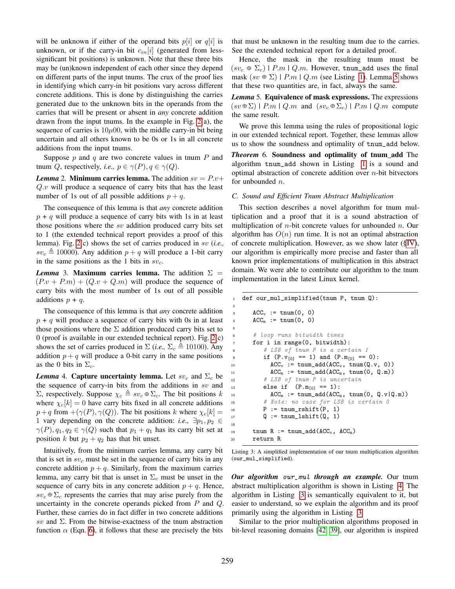will be unknown if either of the operand bits  $p[i]$  or  $q[i]$  is unknown, or if the carry-in bit  $c_{in}[i]$  (generated from lesssignificant bit positions) is unknown. Note that these three bits may be (un)known independent of each other since they depend on different parts of the input tnums. The crux of the proof lies in identifying which carry-in bit positions vary across different concrete additions. This is done by distinguishing the carries generated due to the unknown bits in the operands from the carries that will be present or absent in *any* concrete addition drawn from the input tnums. In the example in Fig. [2\(](#page-4-3)a), the sequence of carries is  $10\mu 00$ , with the middle carry-in bit being uncertain and all others known to be 0s or 1s in all concrete additions from the input tnums.

Suppose  $p$  and  $q$  are two concrete values in tnum  $P$  and tnum Q, respectively, *i.e.*,  $p \in \gamma(P)$ ,  $q \in \gamma(Q)$ .

<span id="page-5-1"></span>*Lemma* 2. **Minimum carries lemma.** The addition  $sv = P.v$ +  $Q.v$  will produce a sequence of carry bits that has the least number of 1s out of all possible additions  $p + q$ .

The consequence of this lemma is that *any* concrete addition  $p + q$  will produce a sequence of carry bits with 1s in at least those positions where the sv addition produced carry bits set to 1 (the extended technical report provides a proof of this lemma). Fig. [2\(](#page-4-3)c) shows the set of carries produced in sv (*i.e.,*  $sv_c \triangleq 10000$ ). Any addition  $p + q$  will produce a 1-bit carry in the same positions as the 1 bits in  $sv_c$ .

<span id="page-5-2"></span>*Lemma* 3. Maximum carries lemma. The addition  $\Sigma =$  $(P.v + P.m) + (Q.v + Q.m)$  will produce the sequence of carry bits with the most number of 1s out of all possible additions  $p + q$ .

The consequence of this lemma is that *any* concrete addition  $p + q$  will produce a sequence of carry bits with 0s in at least those positions where the  $\Sigma$  addition produced carry bits set to 0 (proof is available in our extended technical report). Fig. [2\(](#page-4-3)c) shows the set of carries produced in  $\Sigma$  (*i.e.*,  $\Sigma_c \triangleq 10100$ ). Any addition  $p + q$  will produce a 0-bit carry in the same positions as the 0 bits in  $\Sigma_c$ .

<span id="page-5-3"></span>*Lemma* 4. Capture uncertainty lemma. Let  $sv_c$  and  $\Sigma_c$  be the sequence of carry-in bits from the additions in  $sv$  and Σ, respectively. Suppose  $χ_c \triangleq sv_c ⊕ Σ_c$ . The bit positions k where  $\chi_c[k] = 0$  have carry bits fixed in all concrete additions  $p+q$  from  $+(\gamma(P), \gamma(Q))$ . The bit positions k where  $\chi_c[k] =$ 1 vary depending on the concrete addition: *i.e.*,  $\exists p_1, p_2 \in$  $\gamma(P), q_1, q_2 \in \gamma(Q)$  such that  $p_1 + q_1$  has its carry bit set at position k but  $p_2 + q_2$  has that bit unset.

Intuitively, from the minimum carries lemma, any carry bit that is set in  $sv_c$  must be set in the sequence of carry bits in any concrete addition  $p + q$ . Similarly, from the maximum carries lemma, any carry bit that is unset in  $\Sigma_c$  must be unset in the sequence of carry bits in any concrete addition  $p + q$ . Hence,  $sv_c \oplus \Sigma_c$  represents the carries that may arise purely from the uncertainty in the concrete operands picked from  $P$  and  $Q$ . Further, these carries do in fact differ in two concrete additions sv and  $\Sigma$ . From the bitwise-exactness of the tnum abstraction function  $\alpha$  (Eqn. [6\)](#page-2-3), it follows that these are precisely the bits that must be unknown in the resulting tnum due to the carries. See the extended technical report for a detailed proof.

Hence, the mask in the resulting tnum must be  $(sv_c \oplus \Sigma_c)$  | P.m | Q.m. However, tnum\_add uses the final mask  $(sv \oplus \Sigma)$  | P.m | Q.m (see Listing [1\)](#page-4-1). Lemma [5](#page-5-4) shows that these two quantities are, in fact, always the same.

<span id="page-5-4"></span>*Lemma* 5*.* Equivalence of mask expressions. The expressions  $(sv \oplus \Sigma)$  | P.m | Q.m and  $(sv_c \oplus \Sigma_c)$  | P.m | Q.m compute the same result.

We prove this lemma using the rules of propositional logic in our extended technical report. Together, these lemmas allow us to show the soundness and optimality of tnum\_add below.

*Theorem* 6*.* Soundness and optimality of tnum\_add The algorithm tnum\_add shown in Listing [1](#page-4-1) is a sound and optimal abstraction of concrete addition over  $n$ -bit bitvectors for unbounded *n*.

## <span id="page-5-0"></span>*C. Sound and Efficient Tnum Abstract Multiplication*

This section describes a novel algorithm for tnum multiplication and a proof that it is a sound abstraction of multiplication of  $n$ -bit concrete values for unbounded  $n$ . Our algorithm has  $O(n)$  run time. It is not an optimal abstraction of concrete multiplication. However, as we show later ([§IV\)](#page-7-0), our algorithm is empirically more precise and faster than all known prior implementations of multiplication in this abstract domain. We were able to contribute our algorithm to the tnum implementation in the latest Linux kernel.

```
1 def our_mul_simplified(tnum P, tnum Q):
\text{ACC}_{y} := \text{trum}(0, 0)4 ACC_m := \text{trum}(0, 0)6 # loop runs bitwidth times
      for i in range(0, bitwidth):
8 # LSB of tnum P is a certain 1
9 if (P.v_{[0]} == 1) and (P.m_{[0]} == 0):
10 ACC_v := \text{trum\_add}(ACC_v, \text{trum}(Q.v, 0))11 \text{ACC}_m := \text{trum\_add}(\text{ACC}_m, \text{trum}(0, Q.m))12 # LSB of tnum P is uncertain
13 else if (P.m<sub>[0]</sub> == 1):
ACC<sub>m</sub> := tum\_add(ACC<sub>m</sub>, tum(0, Q.v|Q.m))15 # Note: no case for LSB is certain 0
_{16} P := tnum_rshift(P, 1)
17 Q := tnum_lshift(Q, 1)
19 tnum R := tnum_add(ACC_v, ACC_m)
      return R
```
Listing 3: A simplified implementation of our tnum multiplication algorithm (our\_mul\_simplified).

*Our algorithm* our\_mul *through an example.* Our tnum abstract multiplication algorithm is shown in Listing [4.](#page-6-0) The algorithm in Listing [3](#page-5-5) is semantically equivalent to it, but easier to understand, so we explain the algorithm and its proof primarily using the algorithm in Listing [3.](#page-5-5)

Similar to the prior multiplication algorithms proposed in bit-level reasoning domains [\[42,](#page-10-41) [39\]](#page-10-38), our algorithm is inspired

2

5

18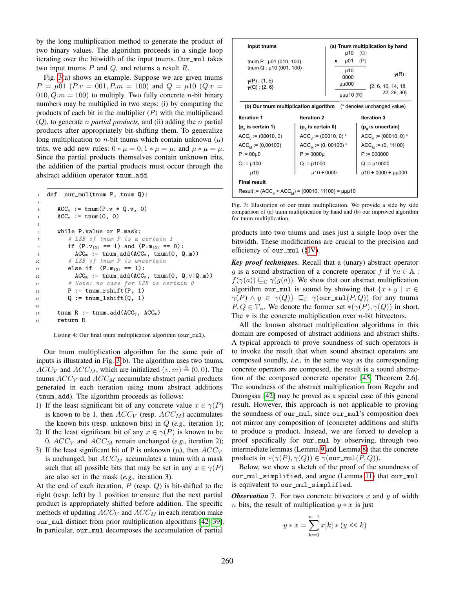by the long multiplication method to generate the product of two binary values. The algorithm proceeds in a single loop iterating over the bitwidth of the input tnums. Our\_mul takes two input tnums  $P$  and  $Q$ , and returns a result  $R$ .

Fig. [3\(](#page-6-1)a) shows an example. Suppose we are given tnums  $P = \mu 01$   $(P.v = 001, P.m = 100)$  and  $Q = \mu 10$   $(Q.v =$  $010, Q.m = 100$  to multiply. Two fully concrete *n*-bit binary numbers may be multiplied in two steps: (i) by computing the products of each bit in the multiplier  $(P)$  with the multiplicand (Q), to generate n *partial products,* and (ii) adding the n partial products after appropriately bit-shifting them. To generalize long multiplication to *n*-bit tnums which contain unknown  $(\mu)$ trits, we add new rules:  $0 * \mu = 0$ ;  $1 * \mu = \mu$ ; and  $\mu * \mu = \mu$ . Since the partial products themselves contain unknown trits, the addition of the partial products must occur through the abstract addition operator tnum\_add.

```
1 def our_mul(tnum P, tnum Q):
2
\text{ACC}_{\text{v}} := \text{trum}(\text{P.v} * \text{Q.v}, 0)4 ACC_m := \text{trum}(0, 0)5
6 while P.value or P.mask:
7 # LSB of tnum P is a certain 1
8 if (P.v_{[0]} == 1) and (P.m_{[0]} == 0):
9 \text{ACC}_m := \text{trum\_add}(\text{ACC}_m, \text{trum}(0, Q.m))10 # LSB of tnum P is uncertain
11 else if (P.m<sub>[0]</sub> == 1):
ACC<sub>m</sub> := thum\_add(ACC<sub>m</sub>, thum(0, Q.v|Q.m))13 # Note: no case for LSB is certain 0
P := \text{tnum\_rshift}(P, 1)15 Q := tnum_lshift(Q, 1)
16
17 tnum R := tnum_add(ACC_v, ACC_m)
18 return R
```
Listing 4: Our final tnum multiplication algorithm (our\_mul).

Our tnum multiplication algorithm for the same pair of inputs is illustrated in Fig. [3\(](#page-6-1)b). The algorithm uses two tnums,  $ACC_V$  and  $ACC_M$ , which are initialized  $(v, m) \triangleq (0, 0)$ . The tnums  $ACC_V$  and  $ACC_M$  accumulate abstract partial products generated in each iteration using tnum abstract additions (tnum\_add). The algorithm proceeds as follows:

- 1) If the least significant bit of any concrete value  $x \in \gamma(P)$ is known to be 1, then  $ACC_V$  (resp.  $ACC_M$ ) accumulates the known bits (resp. unknown bits) in Q (*e.g.,* iteration 1);
- 2) If the least significant bit of any  $x \in \gamma(P)$  is known to be 0,  $ACC_V$  and  $ACC_M$  remain unchanged (*e.g.*, iteration 2);
- 3) If the least significant bit of P is unknown  $(\mu)$ , then  $ACC_V$ is unchanged, but  $ACC_M$  accumulates a tnum with a mask such that all possible bits that may be set in any  $x \in \gamma(P)$ are also set in the mask (*e.g.,* iteration 3).

At the end of each iteration,  $P$  (resp.  $Q$ ) is bit-shifted to the right (resp. left) by 1 position to ensure that the next partial product is appropriately shifted before addition. The specific methods of updating  $ACC_V$  and  $ACC_M$  in each iteration make our\_mul distinct from prior multiplication algorithms [\[42,](#page-10-41) [39\]](#page-10-38). In particular, our\_mul decomposes the accumulation of partial

<span id="page-6-1"></span>

| Input tnums                                                          |                             | µ10                  | (a) Tnum multiplication by hand<br>(Q) |  |
|----------------------------------------------------------------------|-----------------------------|----------------------|----------------------------------------|--|
| tnum $P: \mu$ 01 (010, 100)<br>tnum $Q: \mu$ 10 (001, 100)           |                             | µ01<br>x             | (P)                                    |  |
| $\gamma(P)$ : {1, 5}<br>$\nu(Q)$ : {2, 6}                            |                             | µ10<br>0000<br>µµ000 | $\nu(R)$ :<br>$\{2, 6, 10, 14, 18,$    |  |
|                                                                      |                             | $\mu\mu\mu$ 10 (R)   | 22, 26, 30}                            |  |
| (b) Our tnum multiplication algorithm<br>(* denotes unchanged value) |                             |                      |                                        |  |
| Iteration 1                                                          | <b>Iteration 2</b>          |                      | <b>Iteration 3</b>                     |  |
| $(p_{0})$ is certain 1)                                              | $(p_{0})$ is certain 0)     |                      | (p <sub>o</sub> is uncertain)          |  |
|                                                                      |                             |                      |                                        |  |
| $ACC_{v} := (00010, 0)$                                              | $ACC_{y} := (00010, 0)^{*}$ |                      | $ACC_{y} := (00010, 0)^{*}$            |  |
| $ACC_{M} := (0,00100)$                                               | $ACC_{M} := (0, 00100)^{*}$ |                      | $ACC_{M} := (0, 11100)$                |  |
| $P := 00 \mu 0$                                                      | $P := 0000 \mu$             |                      | $P := 000000$                          |  |
| $Q := \mu 100$                                                       | $Q := \mu 1000$             |                      | $Q := \mu 10000$                       |  |
| µ10                                                                  | $\mu$ 10 + 0000             |                      | $\mu$ 10 + 0000 + $\mu$ $\mu$ 000      |  |
| <b>Final result</b>                                                  |                             |                      |                                        |  |

Fig. 3: Illustration of our tnum multiplication. We provide a side by side comparison of (a) tnum multiplication by hand and (b) our improved algorithm for tnum multiplication.

products into two tnums and uses just a single loop over the bitwidth. These modifications are crucial to the precision and efficiency of our\_mul ([§IV\)](#page-7-0).

*Key proof techniques.* Recall that a (unary) abstract operator g is a sound abstraction of a concrete operator f if  $\forall a \in \mathbb{A}$ :  $f(\gamma(a)) \sqsubseteq_{\mathbb{C}} \gamma(g(a))$ . We show that our abstract multiplication algorithm our\_mul is sound by showing that  $\{x * y \mid x \in$  $\gamma(P) \wedge y \in \gamma(Q)$   $\sqsubseteq_{\mathbb{C}} \gamma(\text{our\_mul}(P,Q))$  for any tnums  $P, Q \in \mathbb{T}_n$ . We denote the former set  $\ast(\gamma(P), \gamma(Q))$  in short. The  $*$  is the concrete multiplication over *n*-bit bitvectors.

All the known abstract multiplication algorithms in this domain are composed of abstract additions and abstract shifts. A typical approach to prove soundness of such operators is to invoke the result that when sound abstract operators are composed soundly, *i.e.,* in the same way as the corresponding concrete operators are composed, the result is a sound abstraction of the composed concrete operator [\[45,](#page-10-44) Theorem 2.6]. The soundness of the abstract multiplication from Regehr and Duongsaa [\[42\]](#page-10-41) may be proved as a special case of this general result. However, this approach is not applicable to proving the soundness of our\_mul, since our\_mul's composition does not mirror any composition of (concrete) additions and shifts to produce a product. Instead, we are forced to develop a proof specifically for our\_mul by observing, through two intermediate lemmas (Lemma [9](#page-7-1) and Lemma [8\)](#page-7-2) that the concrete products in  $*(\gamma(P), \gamma(Q)) \in \gamma(\text{our\_mul}(P, Q)).$ 

Below, we show a sketch of the proof of the soundness of our\_mul\_simplified, and argue (Lemma [11\)](#page-7-3) that our\_mul is equivalent to our\_mul\_simplified.

<span id="page-6-2"></span>*Observation* 7. For two concrete bitvectors x and y of width *n* bits, the result of multiplication  $y * x$  is just

$$
y * x = \sum_{k=0}^{n-1} x[k] * (y \ll k)
$$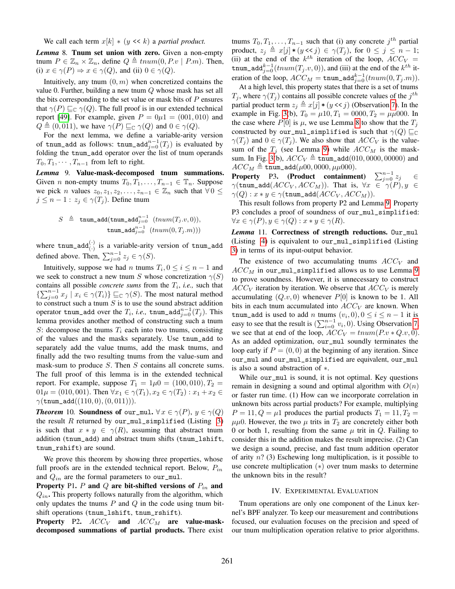We call each term  $x[k] * (y \ll k)$  a *partial product.* 

<span id="page-7-2"></span>*Lemma* 8*.* Tnum set union with zero. Given a non-empty tnum  $P \in \mathbb{Z}_n \times \mathbb{Z}_n$ , define  $Q \triangleq tnum(0, P.v \mid P.m)$ . Then, (i)  $x \in \gamma(P) \Rightarrow x \in \gamma(Q)$ , and (ii)  $0 \in \gamma(Q)$ .

Intuitively, any tnum  $(0, m)$  when concretized contains the value 0. Further, building a new tnum Q whose mask has set all the bits corresponding to the set value or mask bits of  $P$  ensures that  $\gamma(P) \sqsubseteq_{\mathbb{C}} \gamma(Q)$ . The full proof is in our extended technical report [\[49\]](#page-11-2). For example, given  $P = 0\mu 1 = (001, 010)$  and  $Q \triangleq (0, 011)$ , we have  $\gamma(P) \sqsubseteq_{\mathbb{C}} \gamma(Q)$  and  $0 \in \gamma(Q)$ .

For the next lemma, we define a variable-arity version of tnum\_add as follows: tnum\_add $_{j=0}^{n-1}(T_j)$  is evaluated by folding the tnum\_add operator over the list of tnum operands  $T_0, T_1, \cdots, T_{n-1}$  from left to right.

<span id="page-7-1"></span>*Lemma* 9*.* Value-mask-decomposed tnum summations. Given *n* non-empty tnums  $T_0, T_1, \ldots, T_{n-1} \in \mathbb{T}_n$ . Suppose we pick *n* values  $z_0, z_1, z_2, \ldots, z_{n-1} \in \mathbb{Z}_n$  such that  $\forall 0 \leq$  $j \leq n-1$ :  $z_j \in \gamma(T_j)$ . Define tnum

$$
S \ \triangleq \ \texttt{tnum\_add}(\texttt{tnum\_add}_{j=0}^{n-1} \ (tnum(T_j.v, 0)), \\ \texttt{tnum\_add}_{j=0}^{n-1} \ (tnum(0, T_j.m)))
$$

where  $\text{trum\_add}^{\left(\cdot\right)}_{\left(\cdot\right)}$  is a variable-arity version of  $\text{trum\_add}$ defined above. Then,  $\sum_{j=0}^{n-1} z_j \in \gamma(S)$ .

Intuitively, suppose we had *n* tnums  $T_i$ ,  $0 \le i \le n - 1$  and we seek to construct a new tnum S whose concretization  $\gamma(S)$ contains all possible *concrete sums* from the  $T_i$ , *i.e.*, such that  $\{\sum_{j=0}^{n-1} x_j \mid x_i \in \gamma(T_i)\} \sqsubseteq_{\mathbb{C}} \gamma(S)$ . The most natural method to construct such a tnum  $S$  is to use the sound abstract addition operator tnum\_add over the  $T_i$ , *i.e.*, tnum\_add $_{j=0}^{n-1}(T_j)$ . This lemma provides another method of constructing such a tnum S: decompose the tnums  $T_i$  each into two tnums, consisting of the values and the masks separately. Use tnum\_add to separately add the value tnums, add the mask tnums, and finally add the two resulting tnums from the value-sum and mask-sum to produce S. Then S contains all concrete sums. The full proof of this lemma is in the extended technical report. For example, suppose  $T_1 = 1\mu 0 = (100, 010), T_2 =$  $01\mu = (010, 001)$ . Then  $\forall x_1 \in \gamma(T_1), x_2 \in \gamma(T_2) : x_1 + x_2 \in$  $\gamma(\text{tnum\_add}((110,0),(0,011))).$ 

*Theorem* 10*.* Soundness of our\_mul.  $\forall x \in \gamma(P)$ ,  $y \in \gamma(Q)$ the result  $R$  returned by our\_mul\_simplified (Listing [3\)](#page-5-5) is such that  $x * y \in \gamma(R)$ , assuming that abstract tnum addition (tnum\_add) and abstract tnum shifts (tnum\_lshift, tnum\_rshift) are sound.

We prove this theorem by showing three properties, whose full proofs are in the extended technical report. Below,  $P_{in}$ and  $Q_{in}$  are the formal parameters to our\_mul.

Property P1.  $P$  and  $Q$  are bit-shifted versions of  $P_{in}$  and  $Q_{in}$ . This property follows naturally from the algorithm, which only updates the tnums  $P$  and  $Q$  in the code using tnum bitshift operations (tnum\_lshift, tnum\_rshift).

**Property** P2.  $ACC_V$  and  $ACC_M$  are value-maskdecomposed summations of partial products. There exist

tnums  $T_0, T_1, \ldots, T_{n-1}$  such that (i) any concrete  $j^{th}$  partial product,  $z_j \triangleq x[j] * (y \ll j) \in \gamma(T_j)$ , for  $0 \leq j \leq n-1$ ; (ii) at the end of the  $k^{th}$  iteration of the loop,  $ACC_V =$ tnum\_add $_{j=0}^{k-1}(tnum(T_j.v, 0))$ , and (iii) at the end of the  $k^{th}$  iteration of the loop,  $ACC_M = \text{trum\_add}_{j=0}^{k-1}(trum(0, T_j.m)).$ 

At a high level, this property states that there is a set of tnums  $T_j$ , where  $\gamma(T_j)$  contains all possible concrete values of the  $j^{th}$ partial product term  $z_i \triangleq x[j] * (y \lt y)$  (Observation [7\)](#page-6-2). In the example in Fig. [3\(](#page-6-1)b),  $T_0 = \mu 10$ ,  $T_1 = 0000$ ,  $T_2 = \mu \mu 000$ . In the case where  $P[0]$  is  $\mu$ , we use Lemma [8](#page-7-2) to show that the  $T_j$ constructed by our\_mul\_simplified is such that  $\gamma(Q) \sqsubseteq_{\mathbb{C}}$  $\gamma(T_i)$  and  $0 \in \gamma(T_i)$ . We also show that  $ACC_V$  is the valuesum of the  $T_j$  (see Lemma [9\)](#page-7-1) while  $ACC_M$  is the mask-sum. In Fig. [3\(](#page-6-1)b),  $ACC_V \triangleq \text{tnum\_add}(010, 0000, 00000)$  and  $ACC_M \triangleq \texttt{tnum\_add}(\mu 00, 0000, \mu \mu 000).$ 

**Property** P3. (Product containment)  $\sum_{j=0}^{n-1} z_j \in$  $\gamma$ (tnum\_add( $ACC_V, ACC_M$ )). That is,  $\forall x \in \gamma(P), y \in$  $\gamma(Q): x * y \in \gamma(\texttt{tnum\_add}(ACC_V, ACC_M)).$ 

This result follows from property P2 and Lemma [9.](#page-7-1) Property P3 concludes a proof of soundness of our\_mul\_simplified:  $\forall x \in \gamma(P), y \in \gamma(Q) : x * y \in \gamma(R).$ 

<span id="page-7-3"></span>*Lemma* 11*.* Correctness of strength reductions. Our\_mul (Listing [4\)](#page-6-0) is equivalent to our\_mul\_simplified (Listing [3\)](#page-5-5) in terms of its input-output behavior.

The existence of two accumulating tnums  $ACC<sub>V</sub>$  and  $ACC_M$  in our\_mul\_simplified allows us to use Lemma [9](#page-7-1) to prove soundness. However, it is unnecessary to construct  $ACC_V$  iteration by iteration. We observe that  $ACC_V$  is merely accumulating  $(Q.v, 0)$  whenever  $P[0]$  is known to be 1. All bits in each tnum accumulated into  $ACC_V$  are known. When tnum\_add is used to add *n* tnums  $(v_i, 0), 0 \le i \le n - 1$  it is easy to see that the result is  $(\sum_{i=0}^{n-1} v_i, 0)$ . Using Observation [7,](#page-6-2) we see that at end of the loop,  $ACC_V = tnum(P.v * Q.v, 0)$ . As an added optimization, our\_mul soundly terminates the loop early if  $P = (0, 0)$  at the beginning of any iteration. Since our\_mul and our\_mul\_simplified are equivalent, our\_mul is also a sound abstraction of ∗.

While our\_mul is sound, it is not optimal. Key questions remain in designing a sound and optimal algorithm with  $O(n)$ or faster run time. (1) How can we incorporate correlation in unknown bits across partial products? For example, multiplying  $P = 11, Q = \mu 1$  produces the partial products  $T_1 = 11, T_2 =$  $\mu\mu$ 0. However, the two  $\mu$  trits in  $T_2$  are concretely either both 0 or both 1, resulting from the same  $\mu$  trit in  $Q$ . Failing to consider this in the addition makes the result imprecise. (2) Can we design a sound, precise, and fast tnum addition operator of arity  $n$ ? (3) Eschewing long multiplication, is it possible to use concrete multiplication (∗) over tnum masks to determine the unknown bits in the result?

## IV. EXPERIMENTAL EVALUATION

<span id="page-7-0"></span>Tnum operations are only one component of the Linux kernel's BPF analyzer. To keep our measurement and contributions focused, our evaluation focuses on the precision and speed of our tnum multiplication operation relative to prior algorithms.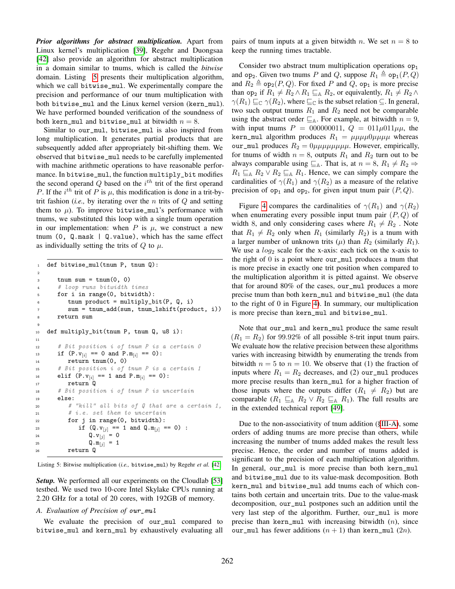*Prior algorithms for abstract multiplication.* Apart from Linux kernel's multiplication [\[39\]](#page-10-38), Regehr and Duongsaa [\[42\]](#page-10-41) also provide an algorithm for abstract multiplication in a domain similar to tnums, which is called the *bitwise* domain. Listing [5](#page-8-0) presents their multiplication algorithm, which we call bitwise\_mul. We experimentally compare the precision and performance of our tnum multiplication with both bitwise\_mul and the Linux kernel version (kern\_mul). We have performed bounded verification of the soundness of both kern\_mul and bitwise\_mul at bitwidth  $n = 8$ .

Similar to our\_mul, bitwise\_mul is also inspired from long multiplication. It generates partial products that are subsequently added after appropriately bit-shifting them. We observed that bitwise\_mul needs to be carefully implemented with machine arithmetic operations to have reasonable performance. In bitwise\_mul, the function multiply\_bit modifies the second operand  $Q$  based on the  $i<sup>th</sup>$  trit of the first operand P. If the  $i^{th}$  trit of P is  $\mu$ , this modification is done in a trit-bytrit fashion (*i.e.,* by iterating over the n trits of Q and setting them to  $\mu$ ). To improve bitwise\_mul's performance with tnums, we substituted this loop with a single tnum operation in our implementation: when  $P$  is  $\mu$ , we construct a new tnum (0,  $Q.\text{mask}$  |  $Q.\text{value}$ ), which has the same effect as individually setting the trits of  $Q$  to  $\mu$ .

```
1 def bitwise_mul(tnum P, tnum Q):
2
\sin x = \tan(0, 0)4 # loop runs bitwidth times
5 for i in range(0, bitwidth):
6 tnum product = multiply_bit(P, Q, i)
         sum = tnum\_add(sum, tnum\_lshift(preduct, i)8 return sum
9
10 def multiply_bit(tnum P, tnum Q, u8 i):
11
12 # Bit position i of tnum P is a certain 0
13 if (P.v_{[i]} == 0 \text{ and } P.m_{[i]} == 0):
14 return tnum(0, 0)
15 # Bit position i of tnum P is a certain 1
16 elif (P.v_{[i]} == 1 \text{ and } P.m_{[i]} == 0):
17 return Q
18 # Bit position i of tnum P is uncertain
19 else:
20 # "kill" all bits of Q that are a certain 1,
21 # i.e. set them to uncertain
22 for j in range(0, bitwidth):
23 if (Q. v_{[j]} == 1 \text{ and } Q. m_{[j]} == 0):
24 Q. v_{[j]} = 025 Q.m<sub>[j]</sub> = 1
26 return Q
```
Listing 5: Bitwise multiplication (*i.e.,* bitwise\_mul) by Regehr *et al.* [\[42\]](#page-10-41)

*Setup.* We performed all our experiments on the Cloudlab [\[53\]](#page-11-6) testbed. We used two 10-core Intel Skylake CPUs running at 2.20 GHz for a total of 20 cores, with 192GB of memory.

## *A. Evaluation of Precision of* our\_mul

We evaluate the precision of our\_mul compared to bitwise\_mul and kern\_mul by exhaustively evaluating all pairs of tnum inputs at a given bitwidth n. We set  $n = 8$  to keep the running times tractable.

Consider two abstract tnum multiplication operations  $op<sub>1</sub>$ and op<sub>2</sub>. Given two tnums P and Q, suppose  $R_1 \triangleq \text{op}_1(P, Q)$ and  $R_2 \triangleq \text{op}_2(P, Q)$ . For fixed P and Q, op<sub>1</sub> is more precise than op<sub>2</sub> if  $R_1 \neq R_2 \wedge R_1 \sqsubseteq_A R_2$ , or equivalently,  $R_1 \neq R_2 \wedge R_2$  $\gamma(R_1) \sqsubseteq_{\mathbb{C}} \gamma(R_2)$ , where  $\sqsubseteq_{\mathbb{C}}$  is the subset relation  $\subseteq$ . In general, two such output tnums  $R_1$  and  $R_2$  need not be comparable using the abstract order  $\sqsubseteq_{\mathbb{A}}$ . For example, at bitwidth  $n = 9$ , with input tnums  $P = 000000011$ ,  $Q = 011\mu 011\mu \mu$ , the kern\_mul algorithm produces  $R_1 = \mu \mu \mu \mu \mu \mu \mu \mu$  whereas our\_mul produces  $R_2 = 0\mu\mu\mu\mu\mu\mu\mu$ . However, empirically, for tnums of width  $n = 8$ , outputs  $R_1$  and  $R_2$  turn out to be always comparable using  $\sqsubseteq_A$ . That is, at  $n = 8$ ,  $R_1 \neq R_2 \Rightarrow$  $R_1 \sqsubseteq_A R_2 \vee R_2 \sqsubseteq_A R_1$ . Hence, we can simply compare the cardinalities of  $\gamma(R_1)$  and  $\gamma(R_2)$  as a measure of the relative precision of  $op_1$  and  $op_2$ , for given input tnum pair  $(P, Q)$ .

Figure [4](#page-9-0) compares the cardinalities of  $\gamma(R_1)$  and  $\gamma(R_2)$ when enumerating every possible input tnum pair  $(P, Q)$  of width 8, and only considering cases where  $R_1 \neq R_2$ . Note that  $R_1 \neq R_2$  only when  $R_1$  (similarly  $R_2$ ) is a tnum with a larger number of unknown trits  $(\mu)$  than  $R_2$  (similarly  $R_1$ ). We use a  $log_2$  scale for the x-axis: each tick on the x-axis to the right of 0 is a point where our\_mul produces a tnum that is more precise in exactly one trit position when compared to the multiplication algorithm it is pitted against. We observe that for around 80% of the cases, our\_mul produces a more precise tnum than both kern\_mul and bitwise\_mul (the data to the right of 0 in Figure [4\)](#page-9-0). In summary, our multiplication is more precise than kern\_mul and bitwise\_mul.

Note that our\_mul and kern\_mul produce the same result  $(R_1 = R_2)$  for 99.92% of all possible 8-trit input tnum pairs. We evaluate how the relative precision between these algorithms varies with increasing bitwidth by enumerating the trends from bitwidth  $n = 5$  to  $n = 10$ . We observe that (1) the fraction of inputs where  $R_1 = R_2$  decreases, and (2) our\_mul produces more precise results than kern\_mul for a higher fraction of those inputs where the outputs differ  $(R_1 \neq R_2)$  but are comparable  $(R_1 \sqsubseteq_A R_2 \vee R_2 \sqsubseteq_A R_1)$ . The full results are in the extended technical report [\[49\]](#page-11-2).

Due to the non-associativity of tnum addition ([§III-A\)](#page-3-1), some orders of adding tnums are more precise than others, while increasing the number of tnums added makes the result less precise. Hence, the order and number of tnums added is significant to the precision of each multiplication algorithm. In general, our\_mul is more precise than both kern\_mul and bitwise\_mul due to its value-mask decomposition. Both kern\_mul and bitwise\_mul add tnums each of which contains both certain and uncertain trits. Due to the value-mask decomposition, our\_mul postpones such an addition until the very last step of the algorithm. Further, our\_mul is more precise than kern\_mul with increasing bitwidth  $(n)$ , since our\_mul has fewer additions  $(n + 1)$  than kern\_mul  $(2n)$ .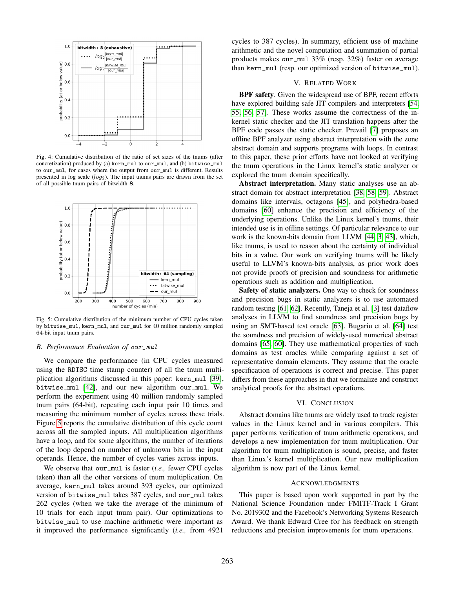<span id="page-9-0"></span>

Fig. 4: Cumulative distribution of the ratio of set sizes of the tnums (after concretization) produced by (a) kern\_mul to our\_mul, and (b) bitwise\_mul to our\_mul, for cases where the output from our\_mul is different. Results presented in log scale  $(log_2)$ . The input tnums pairs are drawn from the set of all possible tnum pairs of bitwidth 8.

<span id="page-9-1"></span>

Fig. 5: Cumulative distribution of the minimum number of CPU cycles taken by bitwise\_mul, kern\_mul, and our\_mul for 40 million randomly sampled 64-bit input tnum pairs.

#### *B. Performance Evaluation of* our\_mul

We compare the performance (in CPU cycles measured using the RDTSC time stamp counter) of all the tnum multiplication algorithms discussed in this paper: kern\_mul [\[39\]](#page-10-38), bitwise\_mul [\[42\]](#page-10-41), and our new algorithm our\_mul. We perform the experiment using 40 million randomly sampled tnum pairs (64-bit), repeating each input pair 10 times and measuring the minimum number of cycles across these trials. Figure [5](#page-9-1) reports the cumulative distribution of this cycle count across all the sampled inputs. All multiplication algorithms have a loop, and for some algorithms, the number of iterations of the loop depend on number of unknown bits in the input operands. Hence, the number of cycles varies across inputs.

We observe that our\_mul is faster (*i.e.,* fewer CPU cycles taken) than all the other versions of tnum multiplication. On average, kern\_mul takes around 393 cycles, our optimized version of bitwise\_mul takes 387 cycles, and our\_mul takes 262 cycles (when we take the average of the minimum of 10 trials for each input tnum pair). Our optimizations to bitwise\_mul to use machine arithmetic were important as it improved the performance significantly (*i.e.,* from 4921 cycles to 387 cycles). In summary, efficient use of machine arithmetic and the novel computation and summation of partial products makes our\_mul 33% (resp. 32%) faster on average than kern\_mul (resp. our optimized version of bitwise\_mul).

#### V. RELATED WORK

BPF safety. Given the widespread use of BPF, recent efforts have explored building safe JIT compilers and interpreters [\[54,](#page-11-7) [55,](#page-11-8) [56,](#page-11-9) [57\]](#page-11-10). These works assume the correctness of the inkernel static checker and the JIT translation happens after the BPF code passes the static checker. Prevail [\[7\]](#page-10-6) proposes an offline BPF analyzer using abstract interpretation with the zone abstract domain and supports programs with loops. In contrast to this paper, these prior efforts have not looked at verifying the tnum operations in the Linux kernel's static analyzer or explored the tnum domain specifically.

Abstract interpretation. Many static analyses use an abstract domain for abstract interpretation [\[38,](#page-10-37) [58,](#page-11-11) [59\]](#page-11-12). Abstract domains like intervals, octagons [\[45\]](#page-10-44), and polyhedra-based domains [\[60\]](#page-11-13) enhance the precision and efficiency of the underlying operations. Unlike the Linux kernel's tnums, their intended use is in offline settings. Of particular relevance to our work is the known-bits domain from LLVM [\[44,](#page-10-43) [3,](#page-10-2) [43\]](#page-10-42), which, like tnums, is used to reason about the certainty of individual bits in a value. Our work on verifying tnums will be likely useful to LLVM's known-bits analysis, as prior work does not provide proofs of precision and soundness for arithmetic operations such as addition and multiplication.

Safety of static analyzers. One way to check for soundness and precision bugs in static analyzers is to use automated random testing [\[61,](#page-11-14) [62\]](#page-11-15). Recently, Taneja et al. [\[3\]](#page-10-2) test dataflow analyses in LLVM to find soundness and precision bugs by using an SMT-based test oracle [\[63\]](#page-11-16). Bugariu et al. [\[64\]](#page-11-17) test the soundness and precision of widely-used numerical abstract domains [\[65,](#page-11-18) [60\]](#page-11-13). They use mathematical properties of such domains as test oracles while comparing against a set of representative domain elements. They assume that the oracle specification of operations is correct and precise. This paper differs from these approaches in that we formalize and construct analytical proofs for the abstract operations.

#### VI. CONCLUSION

Abstract domains like tnums are widely used to track register values in the Linux kernel and in various compilers. This paper performs verification of tnum arithmetic operations, and develops a new implementation for tnum multiplication. Our algorithm for tnum multiplication is sound, precise, and faster than Linux's kernel multiplication. Our new multiplication algorithm is now part of the Linux kernel.

## ACKNOWLEDGMENTS

This paper is based upon work supported in part by the National Science Foundation under FMITF-Track I Grant No. 2019302 and the Facebook's Networking Systems Research Award. We thank Edward Cree for his feedback on strength reductions and precision improvements for tnum operations.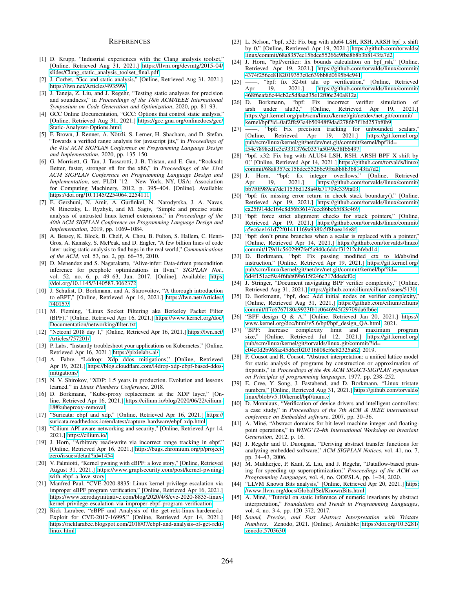#### **REFERENCES**

- <span id="page-10-0"></span>[1] D. Krupp, "Industrial experiences with the Clang analysis toolset," [Online, Retrieved Aug 31, 2021.] https://llvm.[org/devmtg/2015-04/](https://llvm.org/devmtg/2015-04/slides/Clang_static_analysis_toolset_final.pdf) [slides/Clang\\_static\\_analysis\\_toolset\\_final](https://llvm.org/devmtg/2015-04/slides/Clang_static_analysis_toolset_final.pdf).pdf.
- <span id="page-10-1"></span>[2] J. Corbet, "Gcc and static analysis," [Online, Retrieved Aug 31, 2021.] https://lwn.[net/Articles/493599/.](https://lwn.net/Articles/493599/)
- <span id="page-10-2"></span>[3] J. Taneja, Z. Liu, and J. Regehr, "Testing static analyses for precision and soundness," in *Proceedings of the 18th ACM/IEEE International Symposium on Code Generation and Optimization*, 2020, pp. 81–93.
- <span id="page-10-3"></span>[4] GCC Online Documentation, "GCC: Options that control static analysis," [Online, Retrieved Aug 31, 2021.] https://gcc.gnu.[org/onlinedocs/gcc/](https://gcc.gnu.org/onlinedocs/gcc/Static-Analyzer-Options.html) [Static-Analyzer-Options](https://gcc.gnu.org/onlinedocs/gcc/Static-Analyzer-Options.html).html.
- <span id="page-10-4"></span>[5] F. Brown, J. Renner, A. Nötzli, S. Lerner, H. Shacham, and D. Stefan, "Towards a verified range analysis for javascript jits," in *Proceedings of the 41st ACM SIGPLAN Conference on Programming Language Design and Implementation*, 2020, pp. 135–150.
- <span id="page-10-5"></span>[6] G. Morrisett, G. Tan, J. Tassarotti, J.-B. Tristan, and E. Gan, "Rocksalt: Better, faster, stronger sfi for the x86," in *Proceedings of the 33rd ACM SIGPLAN Conference on Programming Language Design and Implementation*, ser. PLDI '12. New York, NY, USA: Association for Computing Machinery, 2012, p. 395–404. [Online]. Available: https://doi.org/10.[1145/2254064](https://doi.org/10.1145/2254064.2254111).2254111
- <span id="page-10-6"></span>[7] E. Gershuni, N. Amit, A. Gurfinkel, N. Narodytska, J. A. Navas, N. Rinetzky, L. Ryzhyk, and M. Sagiv, "Simple and precise static analysis of untrusted linux kernel extensions," in *Proceedings of the 40th ACM SIGPLAN Conference on Programming Language Design and Implementation*, 2019, pp. 1069–1084.
- <span id="page-10-7"></span>[8] A. Bessey, K. Block, B. Chelf, A. Chou, B. Fulton, S. Hallem, C. Henri-Gros, A. Kamsky, S. McPeak, and D. Engler, "A few billion lines of code later: using static analysis to find bugs in the real world," *Communications of the ACM*, vol. 53, no. 2, pp. 66–75, 2010.
- <span id="page-10-8"></span>[9] D. Menendez and S. Nagarakatte, "Alive-infer: Data-driven precondition inference for peephole optimizations in llvm," *SIGPLAN Not.*, vol. 52, no. 6, p. 49–63, Jun. 2017. [Online]. Available: [https:](https://doi.org/10.1145/3140587.3062372) //doi.org/10.[1145/3140587](https://doi.org/10.1145/3140587.3062372).3062372
- <span id="page-10-9"></span>[10] J. Schulist, D. Borkmann, and A. Starovoitov, "A thorough introduction to eBPF," [Online, Retrieved Apr 16, 2021.] https://lwn.[net/Articles/](https://lwn.net/Articles/740157/) [740157/.](https://lwn.net/Articles/740157/)
- <span id="page-10-10"></span>[11] M. Fleming, "Linux Socket Filtering aka Berkeley Packet Filter (BPF)," [Online, Retrieved Apr 16, 2021.] [https://www](https://www.kernel.org/doc/Documentation/networking/filter.txt).kernel.org/doc/ [Documentation/networking/filter](https://www.kernel.org/doc/Documentation/networking/filter.txt).txt.
- <span id="page-10-11"></span>[12] "Netconf 2018 day 1," [Online, Retrieved Apr 16, 2021.] [https://lwn](https://lwn.net/Articles/757201/).net/ [Articles/757201/.](https://lwn.net/Articles/757201/)
- <span id="page-10-12"></span>[13] P. Labs, "Instantly troubleshoot your applications on Kubernetes," [Online, Retrieved Apr 16, 2021.] [https://pixielabs](https://pixielabs.ai/).ai/.
- <span id="page-10-13"></span>[14] A. Fabre, "L4drop: Xdp ddos mitigations," [Online, Retrieved Apr 19, 2021.] https://blog.cloudflare.[com/l4drop-xdp-ebpf-based-ddos](https://blog.cloudflare.com/l4drop-xdp-ebpf-based-ddos-mitigations/)[mitigations/.](https://blog.cloudflare.com/l4drop-xdp-ebpf-based-ddos-mitigations/)
- <span id="page-10-14"></span>[15] N. V. Shirokov, "XDP: 1.5 years in production. Evolution and lessons learned." in *Linux Plumbers Conference*, 2018.
- <span id="page-10-15"></span>[16] D. Borkmann, "Kube-proxy replacement at the XDP layer," [Online, Retrieved Apr 16, 2021.] https://cilium.[io/blog/2020/06/22/cilium-](https://cilium.io/blog/2020/06/22/cilium-18#kubeproxy-removal)[18#kubeproxy-removal.](https://cilium.io/blog/2020/06/22/cilium-18#kubeproxy-removal)
- <span id="page-10-16"></span>[17] "Suricata: ebpf and xdp," [Online, Retrieved Apr 16, 2021.] [https://](https://suricata.readthedocs.io/en/latest/capture-hardware/ebpf-xdp.html) suricata.readthedocs.[io/en/latest/capture-hardware/ebpf-xdp](https://suricata.readthedocs.io/en/latest/capture-hardware/ebpf-xdp.html).html.
- <span id="page-10-17"></span>[18] "Cilium API-aware networking and security," [Online, Retrieved Apr 14, 2021.] [https://cilium](https://cilium.io/).io/.
- <span id="page-10-18"></span>[19] J. Horn, "Arbitrary read+write via incorrect range tracking in ebpf," [Online, Retrieved Apr 16, 2021.] https://bugs.chromium.[org/p/project](https://bugs.chromium.org/p/project-zero/issues/detail?id=1454)[zero/issues/detail?id=1454.](https://bugs.chromium.org/p/project-zero/issues/detail?id=1454)
- <span id="page-10-19"></span>[20] V. Palmiotti, "Kernel pwning with eBPF: a love story," [Online, Retrieved August 31, 2021.] https://www.graplsecurity.[com/post/kernel-pwning](https://www.graplsecurity.com/post/kernel-pwning-with-ebpf-a-love-story)[with-ebpf-a-love-story.](https://www.graplsecurity.com/post/kernel-pwning-with-ebpf-a-love-story)
- <span id="page-10-20"></span>[21] Manfred Paul, "CVE-2020-8835: Linux kernel privilege escalation via improper eBPF program verification," [Online, Retrieved Apr 16, 2021.] https://www.zerodayinitiative.[com/blog/2020/4/8/cve-2020-8835-linux](https://www.zerodayinitiative.com/blog/2020/4/8/cve-2020-8835-linux-kernel-privilege-escalation-via-improper-ebpf-program-verification)[kernel-privilege-escalation-via-improper-ebpf-program-verification.](https://www.zerodayinitiative.com/blog/2020/4/8/cve-2020-8835-linux-kernel-privilege-escalation-via-improper-ebpf-program-verification)
- <span id="page-10-21"></span>[22] Rick Larabee, "eBPF and Analysis of the get-rekt-linux-hardened.c Exploit for CVE-2017-16995," [Online, Retrieved Apr 14, 2021.] https://ricklarabee.blogspot.[com/2018/07/ebpf-and-analysis-of-get-rekt](https://ricklarabee.blogspot.com/2018/07/ebpf-and-analysis-of-get-rekt-linux.html)[linux](https://ricklarabee.blogspot.com/2018/07/ebpf-and-analysis-of-get-rekt-linux.html).html.
- <span id="page-10-22"></span>[23] L. Nelson, "bpf, x32: Fix bug with alu64 LSH, RSH, ARSH bpf\_x shift by 0," [Online, Retrieved Apr 19, 2021.] [https://github](https://github.com/torvalds/linux/commit/68a8357ec15bdce55266e9fba8b8b3b8143fa7d2).com/torvalds/ [linux/commit/68a8357ec15bdce55266e9fba8b8b3b8143fa7d2.](https://github.com/torvalds/linux/commit/68a8357ec15bdce55266e9fba8b8b3b8143fa7d2)
- <span id="page-10-23"></span>[24] J. Horn, "bpf/verifier: fix bounds calculation on bpf\_rsh," [Online, Retrieved Apr 19, 2021.] https://github.[com/torvalds/linux/commit/](https://github.com/torvalds/linux/commit/4374f256ce8182019353c0c639bb8d0695b4c941) [4374f256ce8182019353c0c639bb8d0695b4c941.](https://github.com/torvalds/linux/commit/4374f256ce8182019353c0c639bb8d0695b4c941)
- <span id="page-10-24"></span>[25] ——, "bpf: fix 32-bit alu op verification," [Online, Retrieved Apr 19, 2021.] https://github.[com/torvalds/linux/commit/](https://github.com/torvalds/linux/commit/468f6eafa6c44cb2c5d8aad35e12f06c240a812a) [468f6eafa6c44cb2c5d8aad35e12f06c240a812a.](https://github.com/torvalds/linux/commit/468f6eafa6c44cb2c5d8aad35e12f06c240a812a)
- <span id="page-10-25"></span>[26] D. Borkmann, "bpf: Fix incorrect verifier simulation of [Online, Retrieved Apr 19, https://git.kernel.[org/pub/scm/linux/kernel/git/netdev/net](https://git.kernel.org/pub/scm/linux/kernel/git/netdev/net.git/commit/kernel/bpf?id=0af2ffc93a4b50948f9dad2786b7f1bd253bf0b9).git/commit/ [kernel/bpf?id=0af2ffc93a4b50948f9dad2786b7f1bd253bf0b9.](https://git.kernel.org/pub/scm/linux/kernel/git/netdev/net.git/commit/kernel/bpf?id=0af2ffc93a4b50948f9dad2786b7f1bd253bf0b9)
- <span id="page-10-26"></span>[27] ——, "bpf: Fix precision tracking for unbounded scalars,"<br>[Online, Retrieved Apr 19, 2021.] https://git.kernel.org/ Retrieved Apr 19, 2021.] [https://git](https://git.kernel.org/pub/scm/linux/kernel/git/netdev/net.git/commit/kernel/bpf?id=f54c7898ed1c3c9331376c0337a5049c38f66497).kernel.org/ [pub/scm/linux/kernel/git/netdev/net](https://git.kernel.org/pub/scm/linux/kernel/git/netdev/net.git/commit/kernel/bpf?id=f54c7898ed1c3c9331376c0337a5049c38f66497).git/commit/kernel/bpf?id= [f54c7898ed1c3c9331376c0337a5049c38f66497.](https://git.kernel.org/pub/scm/linux/kernel/git/netdev/net.git/commit/kernel/bpf?id=f54c7898ed1c3c9331376c0337a5049c38f66497)
- <span id="page-10-27"></span>[28] "bpf, x32: Fix bug with ALU64 LSH, RSH, ARSH BPF\_X shift by 0," [Online, Retrieved Apr 14, 2021.] https://github.[com/torvalds/linux/](https://github.com/torvalds/linux/commit/68a8357ec15bdce55266e9fba8b8b3b8143fa7d2) [commit/68a8357ec15bdce55266e9fba8b8b3b8143fa7d2.](https://github.com/torvalds/linux/commit/68a8357ec15bdce55266e9fba8b8b3b8143fa7d2)
- <span id="page-10-28"></span>[29] J. Horn, "bpf: fix integer overflows," [Online, Retrieved Apr 19, 2021.] https://github.[com/torvalds/linux/commit/](https://github.com/torvalds/linux/commit/bb7f0f989ca7de1153bd128a40a71709e339fa03) [bb7f0f989ca7de1153bd128a40a71709e339fa03.](https://github.com/torvalds/linux/commit/bb7f0f989ca7de1153bd128a40a71709e339fa03)
- <span id="page-10-29"></span>[30] "bpf: fix missing error return in check\_stack\_boundary()," [Online, Retrieved Apr 19, 2021.] https://github.[com/torvalds/linux/commit/](https://github.com/torvalds/linux/commit/ea25f914dc164c8d56b36147ecc86bc65f83c469) [ea25f914dc164c8d56b36147ecc86bc65f83c469.](https://github.com/torvalds/linux/commit/ea25f914dc164c8d56b36147ecc86bc65f83c469)
- <span id="page-10-30"></span>[31] "bpf: force strict alignment checks for stack pointers," [Online, Retrieved Apr 19, 2021.] https://github.[com/torvalds/linux/commit/](https://github.com/torvalds/linux/commit/a5ec6ae161d72f01411169a938fa5f8baea16e8f) [a5ec6ae161d72f01411169a938fa5f8baea16e8f.](https://github.com/torvalds/linux/commit/a5ec6ae161d72f01411169a938fa5f8baea16e8f)
- <span id="page-10-31"></span>[32] "bpf: don't prune branches when a scalar is replaced with a pointer," [Online, Retrieved Apr 14, 2021.] https://github.[com/torvalds/linux/](https://github.com/torvalds/linux/commit/179d1c5602997fef5a940c6ddcf31212cbfebd14) [commit/179d1c5602997fef5a940c6ddcf31212cbfebd14.](https://github.com/torvalds/linux/commit/179d1c5602997fef5a940c6ddcf31212cbfebd14)
- <span id="page-10-32"></span>[33] D. Borkmann, "bpf: Fix passing modified ctx to ld/abs/ind instruction," [Online, Retrieved Apr 19, 2021.] [https://git](https://git.kernel.org/pub/scm/linux/kernel/git/netdev/net.git/commit/kernel/bpf?id=6d4f151acf9a4f6fab09b615f246c717ddedcf0c).kernel.org/ [pub/scm/linux/kernel/git/netdev/net](https://git.kernel.org/pub/scm/linux/kernel/git/netdev/net.git/commit/kernel/bpf?id=6d4f151acf9a4f6fab09b615f246c717ddedcf0c).git/commit/kernel/bpf?id= [6d4f151acf9a4f6fab09b615f246c717ddedcf0c.](https://git.kernel.org/pub/scm/linux/kernel/git/netdev/net.git/commit/kernel/bpf?id=6d4f151acf9a4f6fab09b615f246c717ddedcf0c)
- <span id="page-10-33"></span>[34] J. Stringer, "Document navigating BPF verifier complexity," [Online, Retrieved Aug 31, 2021.] https://github.[com/cilium/cilium/issues/5130.](https://github.com/cilium/cilium/issues/5130)
- <span id="page-10-34"></span>[35] D. Borkmann, "bpf, doc: Add initial nodes on verifier complexity," [Online, Retrieved Aug 31, 2021.] https://github.[com/cilium/cilium/](https://github.com/cilium/cilium/commit/ff7c6767180a9923fb1c0646945f29709da6fb6e) [commit/ff7c6767180a9923fb1c0646945f29709da6fb6e.](https://github.com/cilium/cilium/commit/ff7c6767180a9923fb1c0646945f29709da6fb6e)
- <span id="page-10-35"></span>[36] "BPF design Q & A," [Online. Retrieved Jan 20, 2021.] [https://](https://www.kernel.org/doc/html/v5.6/bpf/bpf_design_QA.html) www.kernel.org/doc/html/v5.[6/bpf/bpf\\_design\\_QA](https://www.kernel.org/doc/html/v5.6/bpf/bpf_design_QA.html).html, 2021.
- <span id="page-10-36"></span>[37] "BPF: Increase complexity limit and maximum program size," [Online. Retrieved Jul 12, 2021.] [https://git](https://git.kernel.org/pub/scm/linux/kernel/git/torvalds/linux.git/commit/?id=c04c0d2b968ac45d6ef020316808ef6c82325a82).kernel.org/ [pub/scm/linux/kernel/git/torvalds/linux](https://git.kernel.org/pub/scm/linux/kernel/git/torvalds/linux.git/commit/?id=c04c0d2b968ac45d6ef020316808ef6c82325a82).git/commit/?id= [c04c0d2b968ac45d6ef020316808ef6c82325a82,](https://git.kernel.org/pub/scm/linux/kernel/git/torvalds/linux.git/commit/?id=c04c0d2b968ac45d6ef020316808ef6c82325a82) 2019.
- <span id="page-10-37"></span>[38] P. Cousot and R. Cousot, "Abstract interpretation: a unified lattice model for static analysis of programs by construction or approximation of fixpoints," in *Proceedings of the 4th ACM SIGACT-SIGPLAN symposium on Principles of programming languages*, 1977, pp. 238–252.
- <span id="page-10-38"></span>[39] E. Cree, Y. Song, J. Fastabend, and D. Borkmann, "Linux tristate numbers," [Online, Retrieved Aug 31, 2021.] [https://github](https://github.com/torvalds/linux/blob/v5.10/kernel/bpf/tnum.c).com/torvalds/ linux/blob/v5.[10/kernel/bpf/tnum](https://github.com/torvalds/linux/blob/v5.10/kernel/bpf/tnum.c).c.
- <span id="page-10-39"></span>[40] D. Monniaux, "Verification of device drivers and intelligent controllers: a case study," in *Proceedings of the 7th ACM & IEEE international conference on Embedded software*, 2007, pp. 30–36.
- <span id="page-10-40"></span>[41] A. Miné, "Abstract domains for bit-level machine integer and floatingpoint operations," in *WING'12-4th International Workshop on invariant Generation*, 2012, p. 16.
- <span id="page-10-41"></span>[42] J. Regehr and U. Duongsaa, "Deriving abstract transfer functions for analyzing embedded software," *ACM SIGPLAN Notices*, vol. 41, no. 7, pp. 34–43, 2006.
- <span id="page-10-42"></span>[43] M. Mukherjee, P. Kant, Z. Liu, and J. Regehr, "Dataflow-based pruning for speeding up superoptimization," *Proceedings of the ACM on Programming Languages*, vol. 4, no. OOPSLA, pp. 1–24, 2020.
- <span id="page-10-43"></span>[44] "LLVM Known Bits analysis," [Online, Retrieved Apr 20, 2021.] [https:](https://www.llvm.org/docs/GlobalISel/KnownBits.html) //www.llvm.[org/docs/GlobalISel/KnownBits](https://www.llvm.org/docs/GlobalISel/KnownBits.html).html.
- <span id="page-10-44"></span>[45] A. Miné, "Tutorial on static inference of numeric invariants by abstract interpretation," *Foundations and Trends in Programming Languages*, vol. 4, no. 3-4, pp. 120–372, 2017.
- <span id="page-10-45"></span>[46] *Sound, Precise, and Fast Abstract Interpretation with Tristate Numbers*. Zenodo, 2021. [Online]. Available: [https://doi](https://doi.org/10.5281/zenodo.5703630).org/10.5281/ zenodo.[5703630](https://doi.org/10.5281/zenodo.5703630)